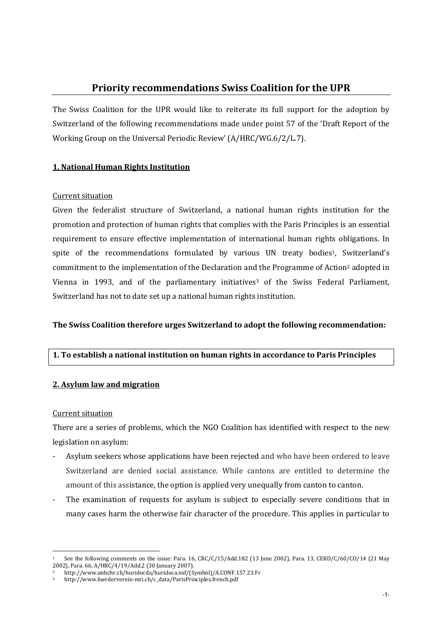# Priority recommendations Swiss Coalition for the UPR

The Swiss Coalition for the UPR would like to reiterate its full support for the adoption by Switzerland of the following recommendations made under point 57 of the 'Draft Report of the Working Group on the Universal Periodic Review' (A/HRC/WG.6/2/L.7).

# 1. National Human Rights Institution

# Current situation

Given the federalist structure of Switzerland, a national human rights institution for the promotion and protection of human rights that complies with the Paris Principles is an essential requirement to ensure effective implementation of international human rights obligations. In spite of the recommendations formulated by various UN treaty bodies<sup>1</sup>, Switzerland's commitment to the implementation of the Declaration and the Programme of Action<sup>2</sup> adopted in Vienna in 1993, and of the parliamentary initiatives <sup>3</sup> of the Swiss Federal Parliament, Switzerland has not to date set up a national human rights institution.

# The Swiss Coalition therefore urges Switzerland to adopt the following recommendation:

# 1. To establish a national institution on human rights in accordance to Paris Principles

# 2. Asylum law and migration

# Current situation

l,

There are a series of problems, which the NGO Coalition has identified with respect to the new legislation on asylum:

- Asylum seekers whose applications have been rejected and who have been ordered to leave Switzerland are denied social assistance. While cantons are entitled to determine the amount of this assistance, the option is applied very unequally from canton to canton.
- The examination of requests for asylum is subject to especially severe conditions that in many cases harm the otherwise fair character of the procedure. This applies in particular to

See the following comments on the issue: Para. 16, CRC/C/15/Add.182 (13 June 2002), Para. 13, CERD/C/60/CO/14 (21 May 2002), Para. 66, A/HRC/4/19/Add.2 (30 January 2007).

<sup>2</sup> http://www.unhchr.ch/huridocda/huridoca.nsf/(Symbol)/A.CONF.157.23.Fr

<sup>3</sup> http://www.foerderverein-mri.ch/c\_data/ParisPrinciples.french.pdf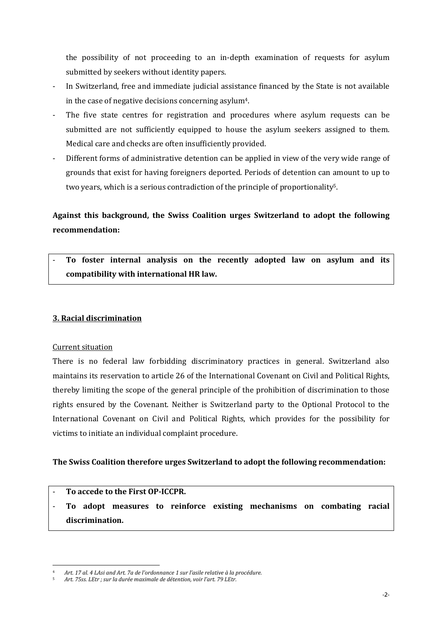the possibility of not proceeding to an in-depth examination of requests for asylum submitted by seekers without identity papers.

- In Switzerland, free and immediate judicial assistance financed by the State is not available in the case of negative decisions concerning asylum4.
- The five state centres for registration and procedures where asylum requests can be submitted are not sufficiently equipped to house the asylum seekers assigned to them. Medical care and checks are often insufficiently provided.
- Different forms of administrative detention can be applied in view of the very wide range of grounds that exist for having foreigners deported. Periods of detention can amount to up to two years, which is a serious contradiction of the principle of proportionality5.

# Against this background, the Swiss Coalition urges Switzerland to adopt the following recommendation:

To foster internal analysis on the recently adopted law on asylum and its compatibility with international HR law.

# 3. Racial discrimination

# Current situation

l,

There is no federal law forbidding discriminatory practices in general. Switzerland also maintains its reservation to article 26 of the International Covenant on Civil and Political Rights, thereby limiting the scope of the general principle of the prohibition of discrimination to those rights ensured by the Covenant. Neither is Switzerland party to the Optional Protocol to the International Covenant on Civil and Political Rights, which provides for the possibility for victims to initiate an individual complaint procedure.

# The Swiss Coalition therefore urges Switzerland to adopt the following recommendation:

#### To accede to the First OP-ICCPR.

- To adopt measures to reinforce existing mechanisms on combating racial discrimination.

<sup>4</sup> Art. 17 al. 4 LAsi and Art. 7a de l'ordonnance 1 sur l'asile relative à la procédure.

<sup>5</sup> Art. 75ss. LEtr ; sur la durée maximale de détention, voir l'art. 79 LEtr.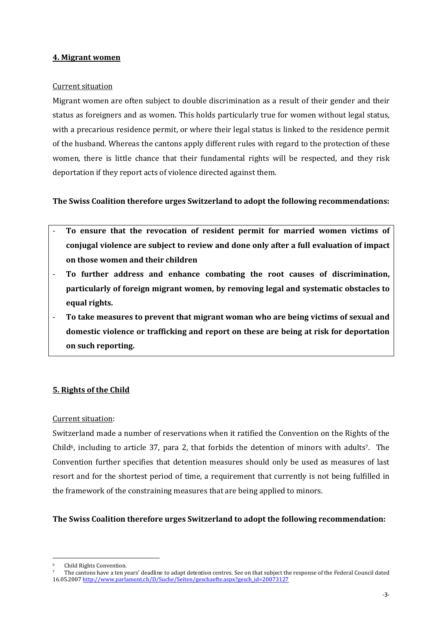#### 4. Migrant women

#### Current situation

Migrant women are often subject to double discrimination as a result of their gender and their status as foreigners and as women. This holds particularly true for women without legal status, with a precarious residence permit, or where their legal status is linked to the residence permit of the husband. Whereas the cantons apply different rules with regard to the protection of these women, there is little chance that their fundamental rights will be respected, and they risk deportation if they report acts of violence directed against them.

# The Swiss Coalition therefore urges Switzerland to adopt the following recommendations:

- To ensure that the revocation of resident permit for married women victims of conjugal violence are subject to review and done only after a full evaluation of impact on those women and their children
- To further address and enhance combating the root causes of discrimination, particularly of foreign migrant women, by removing legal and systematic obstacles to equal rights.
- To take measures to prevent that migrant woman who are being victims of sexual and domestic violence or trafficking and report on these are being at risk for deportation on such reporting.

# 5. Rights of the Child

# Current situation:

Switzerland made a number of reservations when it ratified the Convention on the Rights of the Child<sup>6</sup>, including to article 37, para 2, that forbids the detention of minors with adults<sup>7</sup>. The Convention further specifies that detention measures should only be used as measures of last resort and for the shortest period of time, a requirement that currently is not being fulfilled in the framework of the constraining measures that are being applied to minors.

# The Swiss Coalition therefore urges Switzerland to adopt the following recommendation:

l,

<sup>6</sup> Child Rights Convention.

<sup>7</sup> The cantons have a ten years' deadline to adapt detention centres. See on that subject the response of the Federal Council dated 16.05.2007 http://www.parlament.ch/D/Suche/Seiten/geschaefte.aspx?gesch\_id=20073127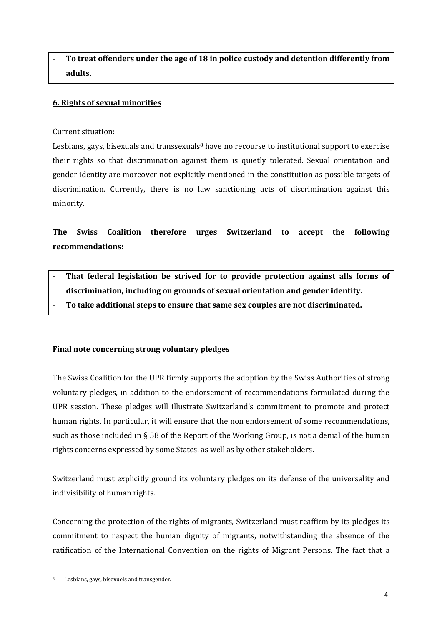# To treat offenders under the age of 18 in police custody and detention differently from adults.

# 6. Rights of sexual minorities

# Current situation:

Lesbians, gays, bisexuals and transsexuals $\delta$  have no recourse to institutional support to exercise their rights so that discrimination against them is quietly tolerated. Sexual orientation and gender identity are moreover not explicitly mentioned in the constitution as possible targets of discrimination. Currently, there is no law sanctioning acts of discrimination against this minority.

The Swiss Coalition therefore urges Switzerland to accept the following recommendations:

- That federal legislation be strived for to provide protection against alls forms of discrimination, including on grounds of sexual orientation and gender identity.
	- To take additional steps to ensure that same sex couples are not discriminated.

# Final note concerning strong voluntary pledges

The Swiss Coalition for the UPR firmly supports the adoption by the Swiss Authorities of strong voluntary pledges, in addition to the endorsement of recommendations formulated during the UPR session. These pledges will illustrate Switzerland's commitment to promote and protect human rights. In particular, it will ensure that the non endorsement of some recommendations, such as those included in § 58 of the Report of the Working Group, is not a denial of the human rights concerns expressed by some States, as well as by other stakeholders.

Switzerland must explicitly ground its voluntary pledges on its defense of the universality and indivisibility of human rights.

Concerning the protection of the rights of migrants, Switzerland must reaffirm by its pledges its commitment to respect the human dignity of migrants, notwithstanding the absence of the ratification of the International Convention on the rights of Migrant Persons. The fact that a

l,

Lesbians, gays, bisexuels and transgender.